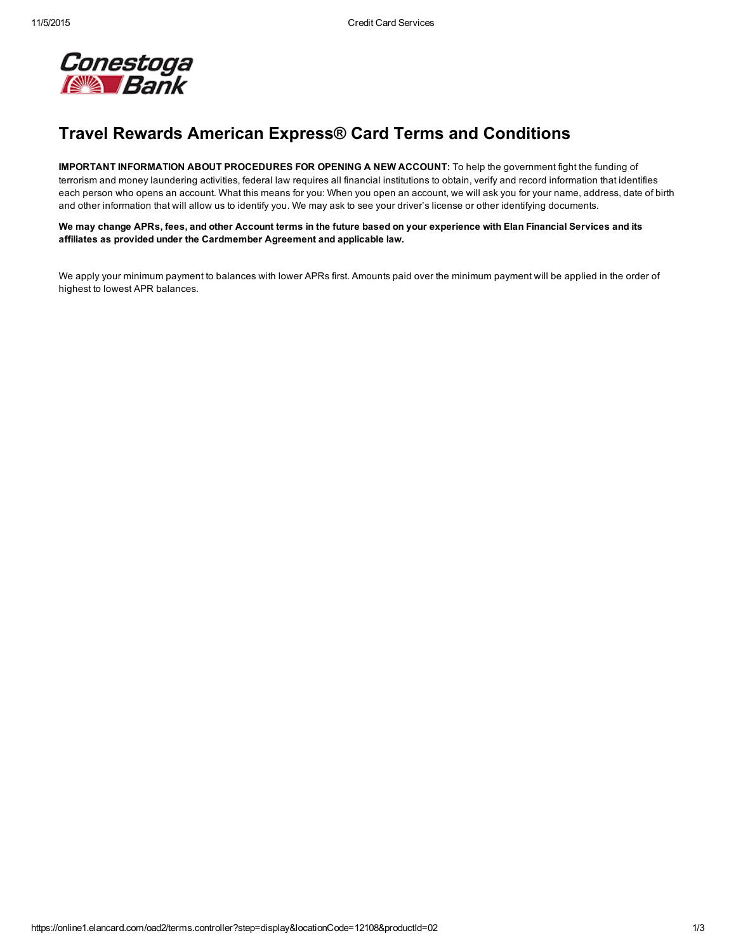

## Travel Rewards American Express® Card Terms and Conditions

IMPORTANT INFORMATION ABOUT PROCEDURES FOR OPENING A NEW ACCOUNT: To help the government fight the funding of terrorism and money laundering activities, federal law requires all financial institutions to obtain, verify and record information that identifies each person who opens an account. What this means for you: When you open an account, we will ask you for your name, address, date of birth and other information that will allow us to identify you. We may ask to see your driver's license or other identifying documents.

We may change APRs, fees, and other Account terms in the future based on your experience with Elan Financial Services and its affiliates as provided under the Cardmember Agreement and applicable law.

We apply your minimum payment to balances with lower APRs first. Amounts paid over the minimum payment will be applied in the order of highest to lowest APR balances.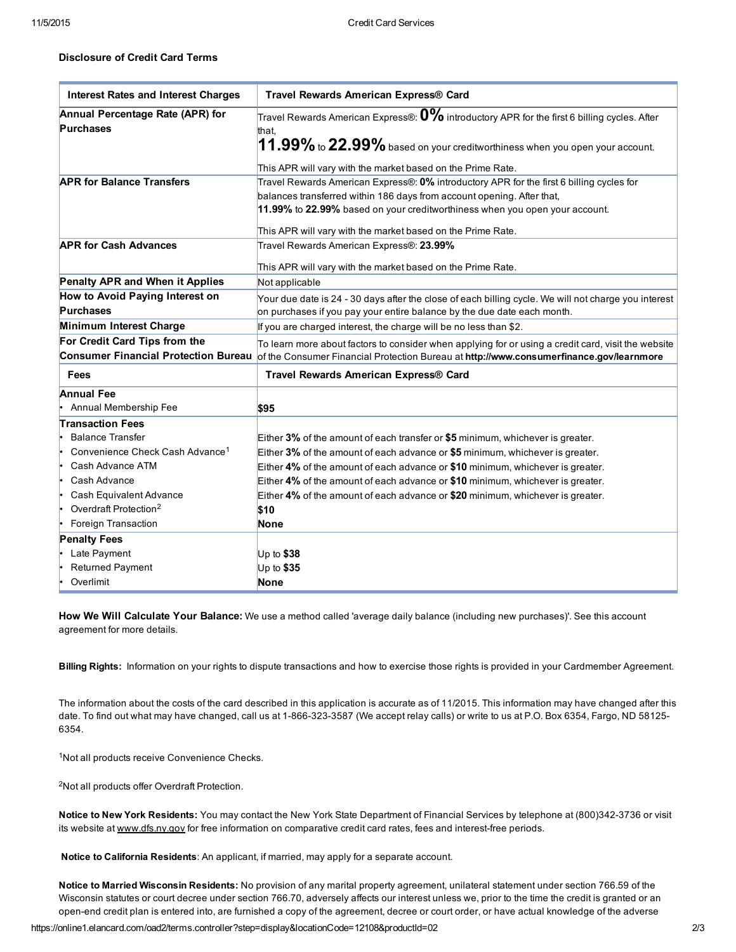## Disclosure of Credit Card Terms

| <b>Interest Rates and Interest Charges</b>           | Travel Rewards American Express® Card                                                                                                                                                                                                                                                                            |
|------------------------------------------------------|------------------------------------------------------------------------------------------------------------------------------------------------------------------------------------------------------------------------------------------------------------------------------------------------------------------|
| Annual Percentage Rate (APR) for<br><b>Purchases</b> | Travel Rewards American Express®: $\mathbf{0\%}$ introductory APR for the first 6 billing cycles. After<br>that.<br>$11.99\%$ to $22.99\%$ based on your creditworthiness when you open your account.                                                                                                            |
|                                                      | This APR will vary with the market based on the Prime Rate.                                                                                                                                                                                                                                                      |
| <b>APR for Balance Transfers</b>                     | Travel Rewards American Express®: 0% introductory APR for the first 6 billing cycles for<br>balances transferred within 186 days from account opening. After that,<br>11.99% to 22.99% based on your creditworthiness when you open your account.<br>This APR will vary with the market based on the Prime Rate. |
| <b>APR for Cash Advances</b>                         | Travel Rewards American Express®: 23.99%                                                                                                                                                                                                                                                                         |
|                                                      | This APR will vary with the market based on the Prime Rate.                                                                                                                                                                                                                                                      |
| <b>Penalty APR and When it Applies</b>               | Not applicable                                                                                                                                                                                                                                                                                                   |
| How to Avoid Paying Interest on<br><b>Purchases</b>  | Your due date is 24 - 30 days after the close of each billing cycle. We will not charge you interest<br>on purchases if you pay your entire balance by the due date each month.                                                                                                                                  |
| Minimum Interest Charge                              | If you are charged interest, the charge will be no less than \$2.                                                                                                                                                                                                                                                |
| For Credit Card Tips from the                        | To learn more about factors to consider when applying for or using a credit card, visit the website<br>Consumer Financial Protection Bureau of the Consumer Financial Protection Bureau at http://www.consumerfinance.gov/learnmore                                                                              |
| Fees                                                 | Travel Rewards American Express® Card                                                                                                                                                                                                                                                                            |
| <b>Annual Fee</b>                                    |                                                                                                                                                                                                                                                                                                                  |
| Annual Membership Fee                                | \$95                                                                                                                                                                                                                                                                                                             |
| <b>Transaction Fees</b>                              |                                                                                                                                                                                                                                                                                                                  |
| <b>Balance Transfer</b>                              | Either 3% of the amount of each transfer or \$5 minimum, whichever is greater.                                                                                                                                                                                                                                   |
| Convenience Check Cash Advance <sup>1</sup>          | Either 3% of the amount of each advance or \$5 minimum, whichever is greater.                                                                                                                                                                                                                                    |
| Cash Advance ATM<br>I۰                               | Either 4% of the amount of each advance or \$10 minimum, whichever is greater.                                                                                                                                                                                                                                   |
| Cash Advance<br>۱.                                   | Either 4% of the amount of each advance or \$10 minimum, whichever is greater.                                                                                                                                                                                                                                   |
| Cash Equivalent Advance<br>۱.                        | Either 4% of the amount of each advance or \$20 minimum, whichever is greater.                                                                                                                                                                                                                                   |
| Overdraft Protection <sup>2</sup>                    | \$10                                                                                                                                                                                                                                                                                                             |
| Foreign Transaction                                  | None                                                                                                                                                                                                                                                                                                             |
| <b>Penalty Fees</b>                                  |                                                                                                                                                                                                                                                                                                                  |
| Late Payment                                         | Up to $$38$                                                                                                                                                                                                                                                                                                      |
| <b>Returned Payment</b>                              | Up to \$35                                                                                                                                                                                                                                                                                                       |
| Overlimit                                            | <b>None</b>                                                                                                                                                                                                                                                                                                      |

How We Will Calculate Your Balance: We use a method called 'average daily balance (including new purchases)'. See this account agreement for more details.

Billing Rights: Information on your rights to dispute transactions and how to exercise those rights is provided in your Cardmember Agreement.

The information about the costs of the card described in this application is accurate as of 11/2015. This information may have changed after this date. To find out what may have changed, call us at 1-866-323-3587 (We accept relay calls) or write to us at P.O. Box 6354, Fargo, ND 58125-6354.

<sup>1</sup>Not all products receive Convenience Checks.

<sup>2</sup>Not all products offer Overdraft Protection.

Notice to New York Residents: You may contact the New York State Department of Financial Services by telephone at (800)342-3736 or visit its website at [www.dfs.ny.gov](http://www.dfs.ny.gov/) for free information on comparative credit card rates, fees and interest-free periods.

Notice to California Residents: An applicant, if married, may apply for a separate account.

Notice to Married Wisconsin Residents: No provision of any marital property agreement, unilateral statement under section 766.59 of the Wisconsin statutes or court decree under section 766.70, adversely affects our interest unless we, prior to the time the credit is granted or an open-end credit plan is entered into, are furnished a copy of the agreement, decree or court order, or have actual knowledge of the adverse